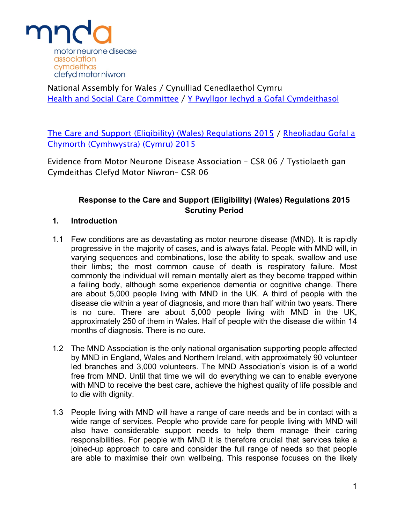

National Assembly for Wales / Cynulliad Cenedlaethol Cymru Health and Social Care [Committee](http://www.senedd.assembly.wales/mgCommitteeDetails.aspx?ID=227) / Y Pwyllgor Iechyd a Gofal [Cymdeithasol](http://www.senedd.cynulliad.cymru/mgCommitteeDetails.aspx?ID=227)

The Care and Support (Eligibility) (Wales) [Regulations](http://www.senedd.assembly.wales/mgConsultationDisplay.aspx?ID=177) 2015 / [Rheoliadau](http://www.senedd.cynulliad.cymru/mgConsultationDisplay.aspx?ID=177) Gofal a Chymorth [\(Cymhwystra\)](http://www.senedd.cynulliad.cymru/mgConsultationDisplay.aspx?ID=177) (Cymru) 2015

Evidence from Motor Neurone Disease Association – CSR 06 / Tystiolaeth gan Cymdeithas Clefyd Motor Niwron– CSR 06

# **Response to the Care and Support (Eligibility) (Wales) Regulations 2015 Scrutiny Period**

### **1. Introduction**

- 1.1 Few conditions are as devastating as motor neurone disease (MND). It is rapidly progressive in the majority of cases, and is always fatal. People with MND will, in varying sequences and combinations, lose the ability to speak, swallow and use their limbs; the most common cause of death is respiratory failure. Most commonly the individual will remain mentally alert as they become trapped within a failing body, although some experience dementia or cognitive change. There are about 5,000 people living with MND in the UK. A third of people with the disease die within a year of diagnosis, and more than half within two years. There is no cure. There are about 5,000 people living with MND in the UK, approximately 250 of them in Wales. Half of people with the disease die within 14 months of diagnosis. There is no cure.
- 1.2 The MND Association is the only national organisation supporting people affected by MND in England, Wales and Northern Ireland, with approximately 90 volunteer led branches and 3,000 volunteers. The MND Association's vision is of a world free from MND. Until that time we will do everything we can to enable everyone with MND to receive the best care, achieve the highest quality of life possible and to die with dignity.
- 1.3 People living with MND will have a range of care needs and be in contact with a wide range of services. People who provide care for people living with MND will also have considerable support needs to help them manage their caring responsibilities. For people with MND it is therefore crucial that services take a joined-up approach to care and consider the full range of needs so that people are able to maximise their own wellbeing. This response focuses on the likely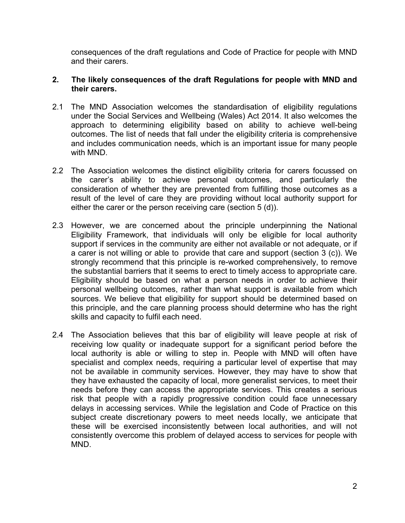consequences of the draft regulations and Code of Practice for people with MND and their carers.

#### **2. The likely consequences of the draft Regulations for people with MND and their carers.**

- 2.1 The MND Association welcomes the standardisation of eligibility regulations under the Social Services and Wellbeing (Wales) Act 2014. It also welcomes the approach to determining eligibility based on ability to achieve well-being outcomes. The list of needs that fall under the eligibility criteria is comprehensive and includes communication needs, which is an important issue for many people with MND.
- 2.2 The Association welcomes the distinct eligibility criteria for carers focussed on the carer's ability to achieve personal outcomes, and particularly the consideration of whether they are prevented from fulfilling those outcomes as a result of the level of care they are providing without local authority support for either the carer or the person receiving care (section 5 (d)).
- 2.3 However, we are concerned about the principle underpinning the National Eligibility Framework, that individuals will only be eligible for local authority support if services in the community are either not available or not adequate, or if a carer is not willing or able to provide that care and support (section 3 (c)). We strongly recommend that this principle is re-worked comprehensively, to remove the substantial barriers that it seems to erect to timely access to appropriate care. Eligibility should be based on what a person needs in order to achieve their personal wellbeing outcomes, rather than what support is available from which sources. We believe that eligibility for support should be determined based on this principle, and the care planning process should determine who has the right skills and capacity to fulfil each need.
- 2.4 The Association believes that this bar of eligibility will leave people at risk of receiving low quality or inadequate support for a significant period before the local authority is able or willing to step in. People with MND will often have specialist and complex needs, requiring a particular level of expertise that may not be available in community services. However, they may have to show that they have exhausted the capacity of local, more generalist services, to meet their needs before they can access the appropriate services. This creates a serious risk that people with a rapidly progressive condition could face unnecessary delays in accessing services. While the legislation and Code of Practice on this subject create discretionary powers to meet needs locally, we anticipate that these will be exercised inconsistently between local authorities, and will not consistently overcome this problem of delayed access to services for people with MND.